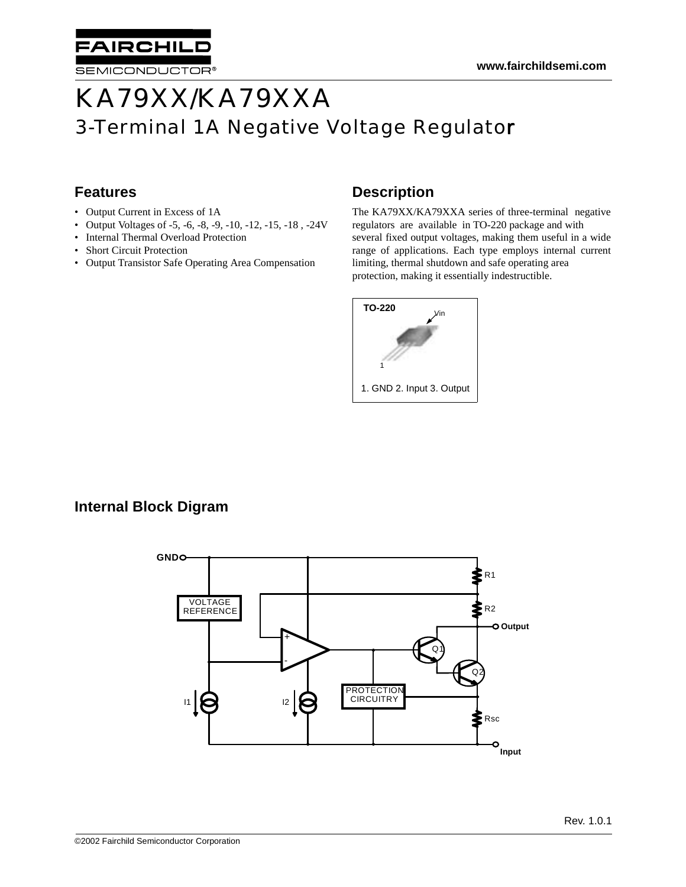

# KA79XX/KA79XXA 3-Terminal 1A Negative Voltage Regulator

# **Features**

- Output Current in Excess of 1A
- Output Voltages of -5, -6, -8, -9, -10, -12, -15, -18 , -24V
- Internal Thermal Overload Protection
- Short Circuit Protection
- Output Transistor Safe Operating Area Compensation

### **Description**

The KA79XX/KA79XXA series of three-terminal negative regulators are available in TO-220 package and with several fixed output voltages, making them useful in a wide range of applications. Each type employs internal current limiting, thermal shutdown and safe operating area protection, making it essentially indestructible.



### **Internal Block Digram**

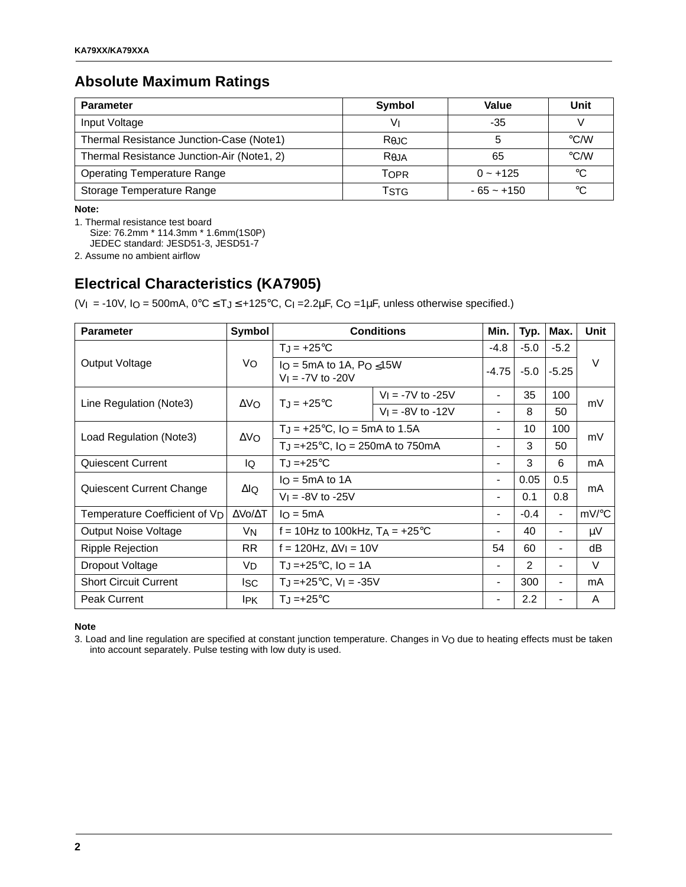### **Absolute Maximum Ratings**

| <b>Parameter</b>                           | Symbol            | Value        | Unit               |
|--------------------------------------------|-------------------|--------------|--------------------|
| Input Voltage                              | V١                | $-35$        |                    |
| Thermal Resistance Junction-Case (Note1)   | Rejc              |              | $\degree$ C/W      |
| Thermal Resistance Junction-Air (Note1, 2) | R <sub>0</sub> JA | 65           | $\rm ^{\circ}$ C/W |
| <b>Operating Temperature Range</b>         | TOPR              | $0 - +125$   | °C                 |
| Storage Temperature Range                  | TstG              | $-65 - +150$ | °C                 |

**Note:**

1. Thermal resistance test board

Size: 76.2mm \* 114.3mm \* 1.6mm(1S0P)

JEDEC standard: JESD51-3, JESD51-7

2. Assume no ambient airflow

# **Electrical Characteristics (KA7905)**

(V<sub>I</sub> = -10V, I<sub>O</sub> = 500mA,  $0^{\circ}$ C  $\leq$  T<sub>J</sub> $\leq$  +125 $^{\circ}$ C, C<sub>I</sub> = 2.2 $\mu$ F, C<sub>O</sub> = 1 $\mu$ F, unless otherwise specified.)

| <b>Parameter</b>              | Symbol                  |                                                                                 | <b>Conditions</b>          | Min.                     | Typ.          | Max.                     | Unit    |
|-------------------------------|-------------------------|---------------------------------------------------------------------------------|----------------------------|--------------------------|---------------|--------------------------|---------|
|                               |                         | $T_{\text{I}} = +25^{\circ}C$                                                   |                            | $-4.8$                   | $-5.0$        | $-5.2$                   |         |
| Output Voltage                | Vo                      | $IO$ = 5mA to 1A, P <sub>O <math>\leq</math></sub> 15W<br>$V_1 = -7V$ to $-20V$ |                            | $-4.75$                  | $-5.0$        | $-5.25$                  | $\vee$  |
|                               | $\Delta V_O$            | $T_{\rm J}$ = +25°C                                                             | $V_1 = -7V$ to $-25V$      | $\blacksquare$           | 35            | 100                      | mV      |
| Line Regulation (Note3)       |                         |                                                                                 | $V_1 = -8V$ to -12V        | $\overline{\phantom{a}}$ | 8             | 50                       |         |
|                               |                         | $T_J = +25$ °C, $I_O = 5mA$ to 1.5A                                             |                            | $\blacksquare$           | 10            | 100                      | mV      |
| Load Regulation (Note3)       | $\Delta$ VO             | TJ =+25 $\degree$ C, IO = 250mA to 750mA                                        |                            | $\overline{\phantom{a}}$ | 3             | 50                       |         |
| <b>Quiescent Current</b>      | lo                      | $T_J = +25^{\circ}C$                                                            |                            |                          | 3             | 6                        | mA      |
|                               | ΔlQ                     | $I_O = 5mA$ to 1A                                                               |                            | $\blacksquare$           | 0.05          | 0.5                      |         |
| Quiescent Current Change      |                         | $V_1 = -8V$ to $-25V$                                                           |                            | $\blacksquare$           | 0.1           | 0.8                      | mA      |
| Temperature Coefficient of VD | $\Delta$ Vo/ $\Delta$ T | $I_O = 5mA$                                                                     |                            | $\blacksquare$           | $-0.4$        | $\overline{\phantom{0}}$ | mV/°C   |
| <b>Output Noise Voltage</b>   | V <sub>N</sub>          | f = 10Hz to 100kHz, $T_A$ = +25°C                                               |                            | $\blacksquare$           | 40            | $\overline{\phantom{0}}$ | $\mu$ V |
| Ripple Rejection              | RR.                     | f = 120Hz, $\Delta V$ I = 10V                                                   |                            | 54                       | 60            |                          | dB      |
| Dropout Voltage               | VD                      |                                                                                 | $T_J = +25$ °C, I $Q = 1A$ |                          | $\mathcal{P}$ |                          | V       |
| <b>Short Circuit Current</b>  | Isc                     | $T_J = +25$ °C, V <sub>I</sub> = -35V                                           |                            | $\overline{\phantom{a}}$ | 300           | $\overline{\phantom{0}}$ | mA      |
| <b>Peak Current</b>           | <b>IPK</b>              | $T_{\rm J}$ =+25°C                                                              |                            | $\blacksquare$           | 2.2           |                          | A       |

#### **Note**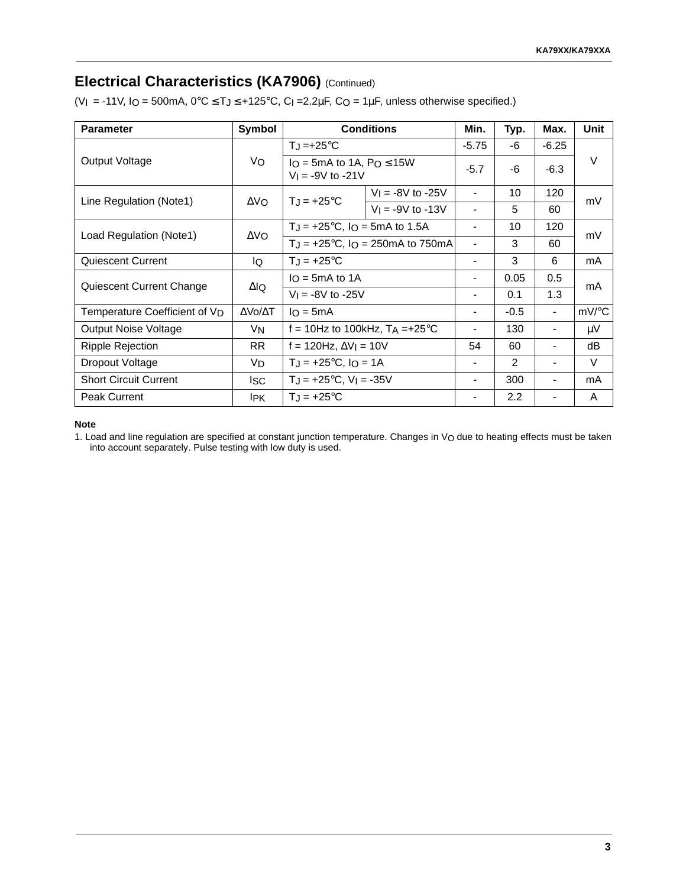### **Electrical Characteristics (KA7906)** (Continued)

(VI = -11V, IO = 500mA,  $0^{\circ}C \le T_J \le +125^{\circ}C$ , C<sub>I</sub> = 2.2 $\mu$ F, C<sub>O</sub> = 1 $\mu$ F, unless otherwise specified.)

| <b>Parameter</b>                          | Symbol          |                                                          | <b>Conditions</b>                                      | Min.                     | Typ.   | Max.                     | Unit  |
|-------------------------------------------|-----------------|----------------------------------------------------------|--------------------------------------------------------|--------------------------|--------|--------------------------|-------|
|                                           |                 | $T_J = +25$ °C                                           |                                                        |                          | -6     | $-6.25$                  |       |
| Output Voltage                            | Vo              | $I_O = 5mA$ to 1A, $Po \le 15W$<br>$V_1 = -9V$ to $-21V$ |                                                        | $-5.7$                   | -6     | $-6.3$                   | V     |
| Line Regulation (Note1)                   | ΔVΩ.            | $T_{J} = +25^{\circ}C$                                   | $V_1 = -8V$ to $-25V$                                  |                          | 10     | 120                      | mV    |
|                                           |                 |                                                          | $V_1 = -9V$ to -13V                                    | $\overline{\phantom{a}}$ | 5      | 60                       |       |
|                                           |                 | $T_J = +25^{\circ}C$ , $I_O = 5mA$ to 1.5A               |                                                        |                          | 10     | 120                      | mV    |
| Load Regulation (Note1)                   | $\Delta$ VO     |                                                          | $T_J = +25^{\circ}C$ , $I_O = 250 \text{mA}$ to 750 mA |                          | 3      | 60                       |       |
| <b>Quiescent Current</b>                  | IQ              | $TJ = +25^{\circ}C$                                      |                                                        |                          | 3      | 6                        | mA    |
|                                           | ΔlQ             | $I_O = 5mA$ to 1A                                        |                                                        | $\blacksquare$           | 0.05   | 0.5                      | mA    |
| Quiescent Current Change                  |                 | $V_1 = -8V$ to $-25V$                                    |                                                        | $\blacksquare$           | 0.1    | 1.3                      |       |
| Temperature Coefficient of V <sub>D</sub> | ΔVο/ΔΤ          | $I_O = 5mA$                                              |                                                        | $\blacksquare$           | $-0.5$ | $\overline{\phantom{a}}$ | mV/°C |
| <b>Output Noise Voltage</b>               | VN              | f = 10Hz to 100kHz, $TA = +25^{\circ}C$                  |                                                        | $\blacksquare$           | 130    | $\overline{\phantom{a}}$ | μV    |
| <b>Ripple Rejection</b>                   | <b>RR</b>       | f = 120Hz, $\Delta V$ I = 10V                            |                                                        | 54                       | 60     |                          | dB    |
| Dropout Voltage                           | VD              | $T_J = +25^{\circ}C$ , $I_O = 1A$                        |                                                        | $\blacksquare$           | 2      |                          | V     |
| <b>Short Circuit Current</b>              | lsc             | $T_J = +25$ °C, V <sub>I</sub> = -35V                    |                                                        | $\blacksquare$           | 300    | $\overline{\phantom{a}}$ | mA    |
| <b>Peak Current</b>                       | I <sub>PK</sub> | $T_{J} = +25^{\circ}C$                                   |                                                        | $\blacksquare$           | 2.2    |                          | A     |

#### **Note**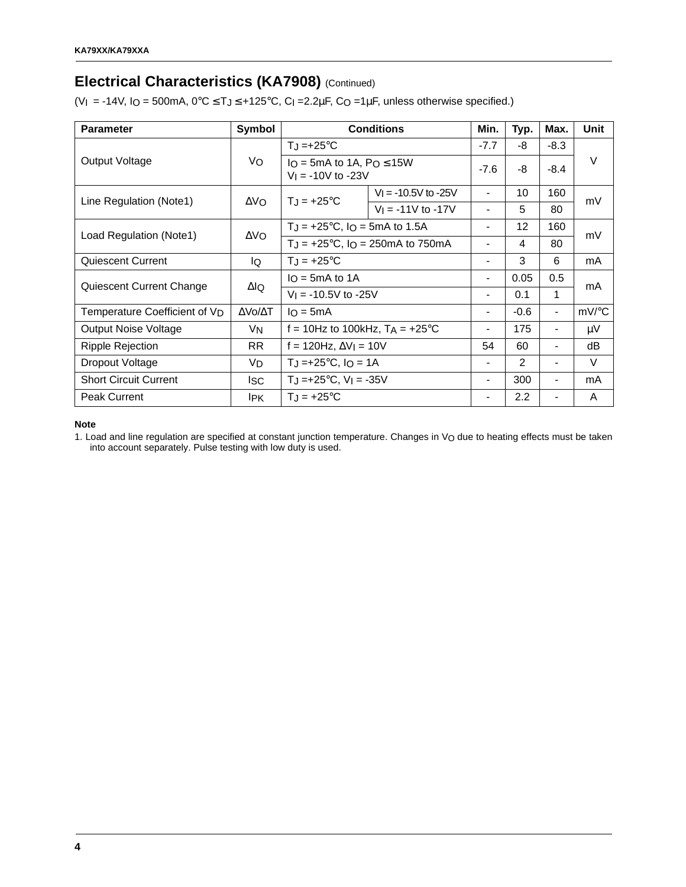# **Electrical Characteristics (KA7908) (Continued)**

(VI = -14V, IO = 500mA,  $0^{\circ}$ C  $\leq$  TJ  $\leq$  +125 $^{\circ}$ C, C<sub>I</sub> = 2.2 $\mu$ F, CO = 1 $\mu$ F, unless otherwise specified.)

| <b>Parameter</b>                          | Symbol                  |                                                           | <b>Conditions</b>                                      | Min.                         | Typ.            | Max.                     | Unit  |
|-------------------------------------------|-------------------------|-----------------------------------------------------------|--------------------------------------------------------|------------------------------|-----------------|--------------------------|-------|
|                                           |                         | $T_J = +25$ °C                                            |                                                        |                              | -8              | $-8.3$                   |       |
| Output Voltage                            | Vo                      | $I_O = 5mA$ to 1A, $Po \le 15W$<br>$V_1 = -10V$ to $-23V$ |                                                        | $-7.6$                       | -8              | $-8.4$                   | V     |
| Line Regulation (Note1)                   | $\Delta$ VO             | $T_{J} = +25^{\circ}C$                                    | $V_1 = -10.5V$ to $-25V$                               | $\blacksquare$               | 10              | 160                      | mV    |
|                                           |                         |                                                           | $V_1 = -11V$ to $-17V$                                 | $\qquad \qquad \blacksquare$ | 5               | 80                       |       |
|                                           | $\Delta$ VO             | $T_J = +25^{\circ}C$ , $I_O = 5mA$ to 1.5A                |                                                        | $\blacksquare$               | 12 <sup>2</sup> | 160                      | mV    |
| Load Regulation (Note1)                   |                         |                                                           | $T_J = +25^{\circ}C$ , $I_O = 250 \text{mA}$ to 750 mA |                              | 4               | 80                       |       |
| <b>Quiescent Current</b>                  | IQ                      | $T_J = +25^{\circ}C$                                      |                                                        |                              |                 | 6                        | mA    |
|                                           | $\Delta$ lQ             | $I_O = 5mA$ to 1A                                         |                                                        | $\blacksquare$               | 0.05            | 0.5                      | mA    |
| Quiescent Current Change                  |                         | $V_1 = -10.5V$ to $-25V$                                  |                                                        | $\qquad \qquad \blacksquare$ | 0.1             | 1                        |       |
| Temperature Coefficient of V <sub>D</sub> | $\Delta$ Vo/ $\Delta$ T | $I_O = 5mA$                                               |                                                        | $\blacksquare$               | $-0.6$          | $\overline{\phantom{0}}$ | mV/°C |
| <b>Output Noise Voltage</b>               | V <sub>N</sub>          | f = 10Hz to 100kHz, $T_A = +25^{\circ}C$                  |                                                        | $\blacksquare$               | 175             | $\overline{\phantom{0}}$ | μV    |
| Ripple Rejection                          | RR.                     | f = 120Hz, $\Delta V$ I = 10V                             |                                                        | 54                           | 60              |                          | dB    |
| Dropout Voltage                           | VD                      | $T_J = +25$ °C, I <sub>O</sub> = 1A                       |                                                        | $\blacksquare$               | 2               | $\overline{\phantom{0}}$ | V     |
| <b>Short Circuit Current</b>              | Isc                     | $T_J = +25$ °C, $V_I = -35V$                              |                                                        | $\blacksquare$               | 300             | $\overline{\phantom{0}}$ | mA    |
| <b>Peak Current</b>                       | IPK.                    | $T_{\rm J}$ = +25°C                                       |                                                        | $\blacksquare$               | 2.2             | -                        | A     |

#### **Note**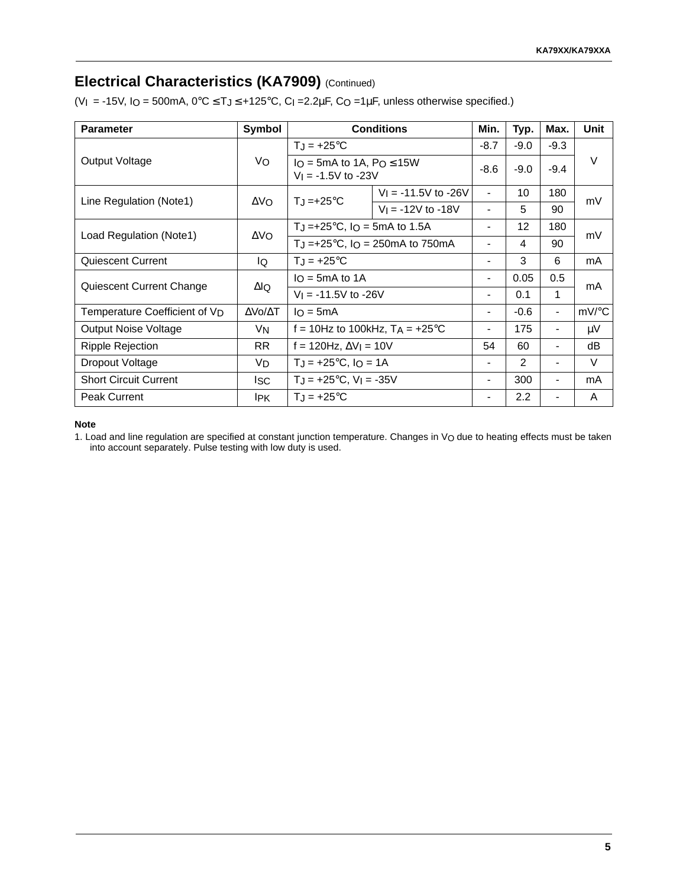# **Electrical Characteristics (KA7909)** (Continued)

(VI = -15V, IO = 500mA,  $0^{\circ}$ C  $\leq$  T $j$   $\leq$  +125 $^{\circ}$ C, C<sub>I</sub> = 2.2 $\mu$ F, CO = 1 $\mu$ F, unless otherwise specified.)

| <b>Parameter</b>                          | Symbol                  |                                                                  | <b>Conditions</b>        | Min.                         | Typ.              | Max.                     | Unit                |
|-------------------------------------------|-------------------------|------------------------------------------------------------------|--------------------------|------------------------------|-------------------|--------------------------|---------------------|
|                                           |                         | $T_J = +25^{\circ}C$                                             |                          |                              | $-9.0$            | $-9.3$                   |                     |
| Output Voltage                            | Vo                      | $I_O = 5mA$ to 1A, $Po \le 15W$<br>$V_1 = -1.5V$ to $-23V$       |                          | $-8.6$                       | $-9.0$            | $-9.4$                   | $\vee$              |
| Line Regulation (Note1)                   | $\Delta V_O$            | $T_{\rm J}$ =+25°C                                               | $V_1 = -11.5V$ to $-26V$ | $\overline{\phantom{a}}$     | 10                | 180                      | mV                  |
|                                           |                         |                                                                  | $V_1 = -12V$ to -18V     | $\overline{a}$               | 5                 | 90                       |                     |
|                                           |                         | TJ = +25 $^{\circ}$ C, IO = 5mA to 1.5A                          |                          | $\qquad \qquad \blacksquare$ | $12 \overline{ }$ | 180                      | mV                  |
| Load Regulation (Note1)                   | $\Delta$ VO             | T <sub>J</sub> =+25 $\degree$ C, I <sub>O</sub> = 250mA to 750mA |                          | $\overline{a}$               | 4                 | 90                       |                     |
| Quiescent Current                         | lQ                      | $TJ = +25^{\circ}C$                                              |                          |                              | 3                 | 6                        | mA                  |
|                                           |                         | $I_O = 5mA$ to 1A                                                |                          | $\blacksquare$               | 0.05              | 0.5                      |                     |
| Quiescent Current Change                  | ΔlQ                     | $V_1 = -11.5V$ to $-26V$                                         |                          | $\blacksquare$               | 0.1               | 1                        | mA                  |
| Temperature Coefficient of V <sub>D</sub> | $\Delta$ Vo/ $\Delta$ T | $I_O = 5mA$                                                      |                          | $\overline{\phantom{a}}$     | $-0.6$            | $\overline{\phantom{0}}$ | $mV$ <sup>o</sup> C |
| <b>Output Noise Voltage</b>               | V <sub>N</sub>          | f = 10Hz to 100kHz, $T_A$ = +25°C                                |                          | $\overline{a}$               | 175               | $\overline{\phantom{0}}$ | μV                  |
| <b>Ripple Rejection</b>                   | <b>RR</b>               | f = 120Hz, $\Delta V$ I = 10V                                    |                          | 54                           | 60                |                          | dB                  |
| Dropout Voltage                           | V <sub>D</sub>          | $T_J = +25^{\circ}C$ , $I_O = 1A$                                |                          | $\blacksquare$               | 2                 | $\overline{\phantom{0}}$ | V                   |
| <b>Short Circuit Current</b>              | <b>ISC</b>              | $T_J = +25$ °C, V <sub>I</sub> = -35V                            |                          | $\blacksquare$               | 300               | $\overline{\phantom{0}}$ | mA                  |
| <b>Peak Current</b>                       | I <sub>PK</sub>         | $T_{\rm J}$ = +25°C                                              |                          | $\blacksquare$               | 2.2               | $\overline{\phantom{0}}$ | A                   |

#### **Note**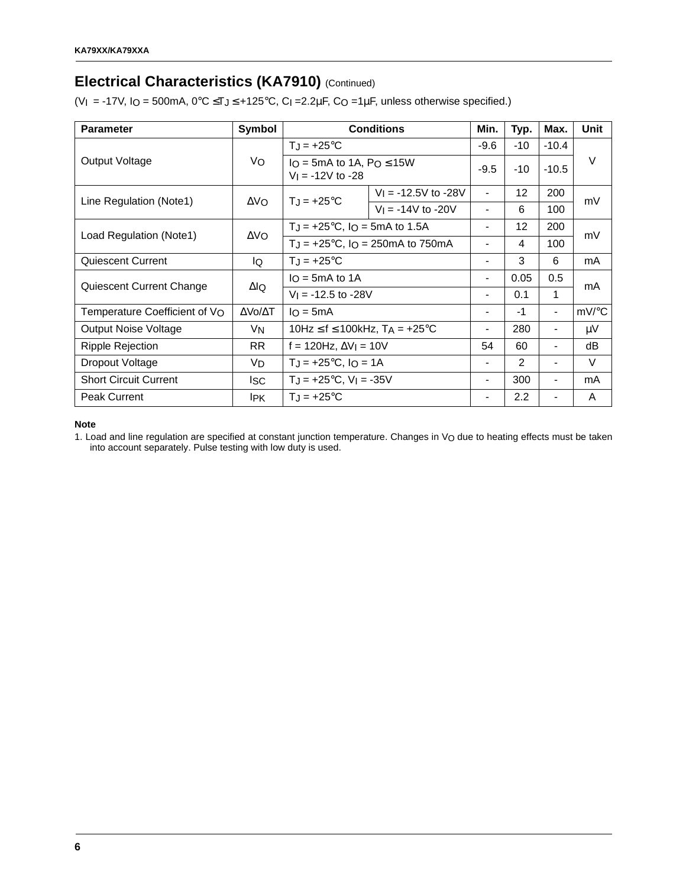# **Electrical Characteristics (KA7910) (Continued)**

(VI = -17V, IO = 500mA,  $0^{\circ}$ C  $\leq$ TJ $\leq$  +125 $^{\circ}$ C, CI =2.2 $\mu$ F, CO =1 $\mu$ F, unless otherwise specified.)

| <b>Parameter</b>              | Symbol      |                                                         | <b>Conditions</b>                       | Min.                     | Typ.            | Max.                     | Unit   |
|-------------------------------|-------------|---------------------------------------------------------|-----------------------------------------|--------------------------|-----------------|--------------------------|--------|
|                               |             | $T_J = +25^{\circ}C$                                    |                                         |                          | $-10$           | $-10.4$                  |        |
| Output Voltage                | Vo          | $IO = 5mA$ to 1A, $Po \le 15W$<br>$V_1 = -12V$ to $-28$ |                                         | $-9.5$                   | $-10$           | $-10.5$                  | $\vee$ |
| Line Regulation (Note1)       | $\Delta$ VO | $T_J = +25^{\circ}C$                                    | $V_1 = -12.5V$ to $-28V$                | $\overline{\phantom{a}}$ | 12              | 200                      | mV     |
|                               |             |                                                         | $V_1 = -14V$ to -20V                    | $\blacksquare$           | 6               | 100                      |        |
| Load Regulation (Note1)       | $\Delta$ VO | $T_J = +25^{\circ}C$ , $I_O = 5mA$ to 1.5A              |                                         | $\blacksquare$           | 12 <sup>2</sup> | 200                      | mV     |
|                               |             |                                                         | $T_J = +25$ °C, $I_O = 250$ mA to 750mA |                          | 4               | 100                      |        |
| <b>Quiescent Current</b>      | IQ          | $T_J = +25$ °C                                          |                                         |                          | 3               | 6                        | mA     |
|                               | ΔlQ         | $I_O = 5mA$ to 1A                                       |                                         | $\blacksquare$           | 0.05            | 0.5                      | mA     |
| Quiescent Current Change      |             | $V_1 = -12.5$ to $-28V$                                 |                                         | $\blacksquare$           | 0.1             | 1                        |        |
| Temperature Coefficient of VO | ΔVο/ΔΤ      | $I_O = 5mA$                                             |                                         | $\overline{\phantom{a}}$ | $-1$            | $\overline{\phantom{0}}$ | mV/°C  |
| Output Noise Voltage          | VN          | 10Hz $\leq$ f $\leq$ 100kHz, T <sub>A</sub> = +25°C     |                                         | $\blacksquare$           | 280             | $\overline{\phantom{0}}$ | μV     |
| <b>Ripple Rejection</b>       | <b>RR</b>   | f = 120Hz, $\Delta V$ I = 10V                           |                                         | 54                       | 60              |                          | dB     |
| Dropout Voltage               | VD          | $T_{J}$ = +25°C, $I_{O}$ = 1A                           |                                         | $\blacksquare$           | $\mathcal{P}$   |                          | $\vee$ |
| <b>Short Circuit Current</b>  | lsc         | $T_J = +25$ °C, V <sub>I</sub> = -35V                   |                                         | $\blacksquare$           | 300             |                          | mA     |
| <b>Peak Current</b>           | <b>IPK</b>  | $T_{J} = +25^{\circ}C$                                  |                                         | $\blacksquare$           | 2.2             |                          | A      |

#### **Note**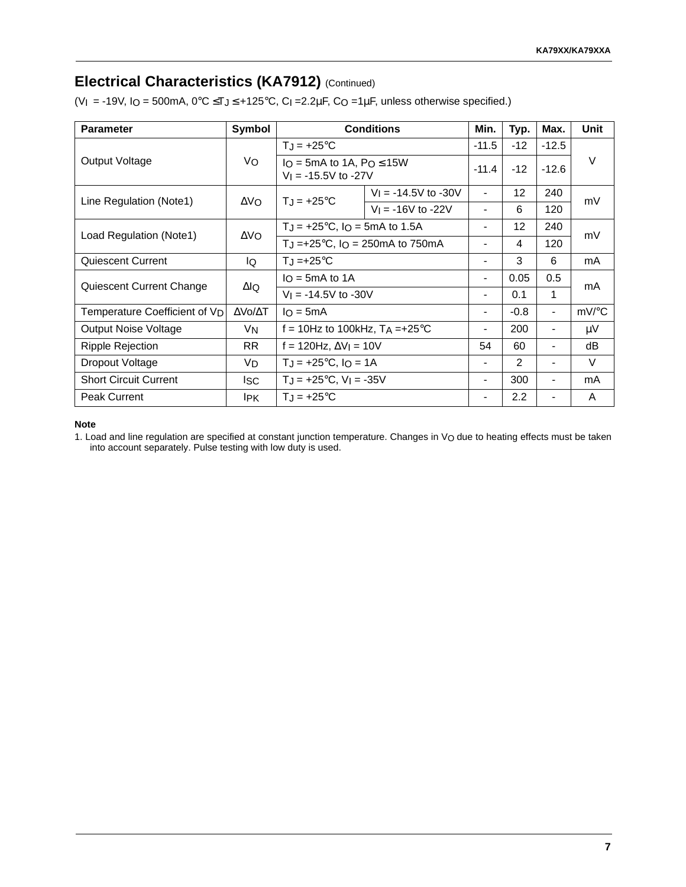### **Electrical Characteristics (KA7912) (Continued)**

(VI = -19V, IO = 500mA,  $0^{\circ}$ C  $\leq$ TJ $\leq$  +125 $^{\circ}$ C, CI = 2.2 $\mu$ F, CO = 1 $\mu$ F, unless otherwise specified.)

| <b>Parameter</b>                          | Symbol                  |                                                             | <b>Conditions</b>                                                 | Min.           | Typ.              | Max.                     | Unit   |
|-------------------------------------------|-------------------------|-------------------------------------------------------------|-------------------------------------------------------------------|----------------|-------------------|--------------------------|--------|
|                                           |                         | $T_J = +25$ °C                                              |                                                                   |                | $-12$             | $-12.5$                  |        |
| Output Voltage                            | Vo                      | $I_O = 5mA$ to 1A, $Po \le 15W$<br>$V_1 = -15.5V$ to $-27V$ |                                                                   | $-11.4$        | $-12$             | $-12.6$                  | $\vee$ |
| Line Regulation (Note1)                   | $\Delta V_O$            | $T_J = +25^{\circ}C$                                        | $V_1 = -14.5V$ to $-30V$                                          | $\blacksquare$ | $12 \overline{ }$ | 240                      | mV     |
|                                           |                         |                                                             | $V_1 = -16V$ to -22V                                              | $\blacksquare$ | 6                 | 120                      |        |
|                                           | $\Delta$ VO             | $T_J = +25^{\circ}C$ , $I_O = 5mA$ to 1.5A                  |                                                                   | $\blacksquare$ | 12 <sup>2</sup>   | 240                      | mV     |
| Load Regulation (Note1)                   |                         |                                                             | T <sub>J</sub> =+25 $^{\circ}$ C, I <sub>O</sub> = 250mA to 750mA |                | 4                 | 120                      |        |
| <b>Quiescent Current</b>                  | lQ.                     | $T_J = +25$ °C                                              |                                                                   |                | 3                 | 6                        | mA     |
|                                           | ΔlQ                     | $I_O = 5mA$ to 1A                                           |                                                                   |                | 0.05              | 0.5                      | mA     |
| Quiescent Current Change                  |                         | $V_1 = -14.5V$ to $-30V$                                    |                                                                   |                | 0.1               | 1                        |        |
| Temperature Coefficient of V <sub>D</sub> | $\Delta$ Vo/ $\Delta$ T | $I \cap = 5mA$                                              |                                                                   | $\blacksquare$ | $-0.8$            | $\overline{\phantom{a}}$ | mV/°C  |
| <b>Output Noise Voltage</b>               | VN                      | f = 10Hz to 100kHz, $T_A = +25$ °C                          |                                                                   | $\blacksquare$ | 200               | $\blacksquare$           | μV     |
| Ripple Rejection                          | <b>RR</b>               | f = 120Hz, $\Delta V$ I = 10V                               |                                                                   | 54             | 60                | $\overline{\phantom{0}}$ | dB     |
| Dropout Voltage                           | VD                      | $T_J = +25$ °C, $I_O = 1A$                                  |                                                                   | $\blacksquare$ | 2                 | $\blacksquare$           | V      |
| <b>Short Circuit Current</b>              | lsc.                    | $T_J = +25$ °C, V <sub>I</sub> = -35V                       |                                                                   |                | 300               | $\blacksquare$           | mA     |
| <b>Peak Current</b>                       | <b>IPK</b>              | $T_{\rm J}$ = +25°C                                         |                                                                   | $\blacksquare$ | 2.2               | $\blacksquare$           | A      |

#### **Note**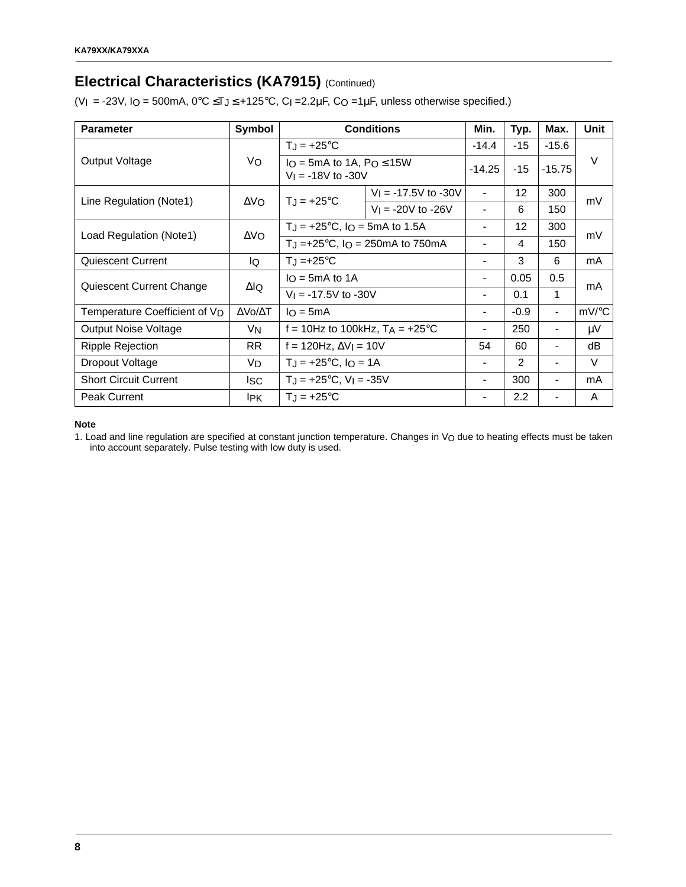# **Electrical Characteristics (KA7915) (Continued)**

(VI = -23V, IO = 500mA,  $0^{\circ}$ C  $\leq$ TJ $\leq$  +125 $^{\circ}$ C, CI =2.2 $\mu$ F, CO =1 $\mu$ F, unless otherwise specified.)

| <b>Parameter</b>                          | Symbol                                                                              |                                                           | <b>Conditions</b>        | Min.           | Typ.   | Max.           | Unit   |
|-------------------------------------------|-------------------------------------------------------------------------------------|-----------------------------------------------------------|--------------------------|----------------|--------|----------------|--------|
|                                           |                                                                                     | $T_J = +25$ °C                                            |                          |                | $-15$  | $-15.6$        |        |
| Output Voltage                            | Vo                                                                                  | $I_O = 5mA$ to 1A, $Po \le 15W$<br>$V_1 = -18V$ to $-30V$ |                          | $-14.25$       | $-15$  | $-15.75$       | $\vee$ |
| Line Regulation (Note1)                   | $\Delta$ VO                                                                         | $T_{\rm J}$ = +25°C                                       | $V_1 = -17.5V$ to $-30V$ |                | 12     | 300            | mV     |
|                                           |                                                                                     |                                                           | $V_1 = -20V$ to $-26V$   | $\blacksquare$ | 6      | 150            |        |
|                                           | $\Delta$ VO                                                                         | $T_J = +25$ °C, IO = 5mA to 1.5A                          |                          |                | 12     | 300            | mV     |
| Load Regulation (Note1)                   | T <sub>J</sub> =+25 $^{\circ}$ C, I <sub>O</sub> = 250mA to 750mA<br>$\blacksquare$ |                                                           |                          | 4              | 150    |                |        |
| <b>Quiescent Current</b>                  | lQ.                                                                                 | $T_J = +25$ °C                                            |                          |                | 3      | 6              | mA     |
|                                           | ΔlQ                                                                                 | $I_O = 5mA$ to 1A                                         |                          |                | 0.05   | 0.5            |        |
| Quiescent Current Change                  |                                                                                     | $V_1 = -17.5V$ to $-30V$                                  |                          |                | 0.1    | 1              | mA     |
| Temperature Coefficient of V <sub>D</sub> | $\Delta$ Vo/ $\Delta$ T                                                             | $I_O = 5mA$                                               |                          |                | $-0.9$ | $\blacksquare$ | mV/°C  |
| <b>Output Noise Voltage</b>               | VN                                                                                  | f = 10Hz to 100kHz, $T_A$ = +25°C                         |                          | $\blacksquare$ | 250    | Ξ.             | μV     |
| <b>Ripple Rejection</b>                   | RR.                                                                                 | f = 120Hz, $\Delta V$ I = 10V                             |                          | 54             | 60     |                | dB     |
| Dropout Voltage                           | VD.                                                                                 | $T_J = +25$ °C, $I_O = 1A$                                |                          |                | 2      | Ξ.             | V      |
| <b>Short Circuit Current</b>              | <b>ISC</b>                                                                          | $TJ = +25^{\circ}C$ , $VI = -35V$                         |                          |                | 300    |                | mA     |
| <b>Peak Current</b>                       | <b>IPK</b>                                                                          | $T_{\rm J}$ = +25°C                                       |                          |                | 2.2    | -              | A      |

#### **Note**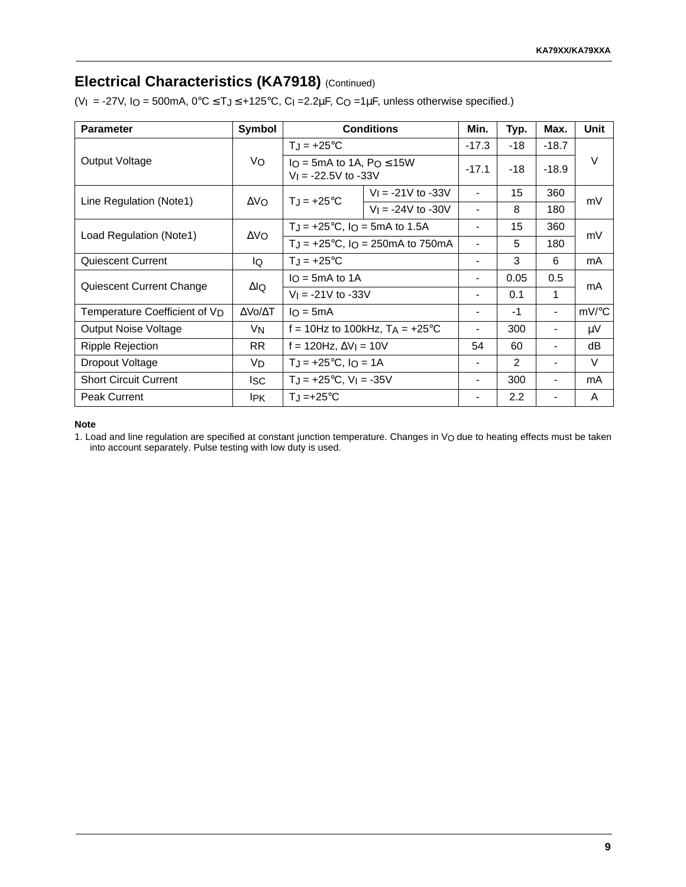# **Electrical Characteristics (KA7918) (Continued)**

(VI = -27V, IO = 500mA,  $0^{\circ}$ C  $\leq$  T $\leq$  +125 $^{\circ}$ C, C<sub>I</sub> = 2.2 $\mu$ F, CO = 1 $\mu$ F, unless otherwise specified.)

| <b>Parameter</b>                          | Symbol                  |                                            | <b>Conditions</b>                                           | Min.                         | Typ.  | Max.    | Unit   |
|-------------------------------------------|-------------------------|--------------------------------------------|-------------------------------------------------------------|------------------------------|-------|---------|--------|
|                                           |                         | $T_J = +25$ °C                             |                                                             |                              | $-18$ | $-18.7$ |        |
| Output Voltage                            | Vo                      |                                            | $I_O = 5mA$ to 1A, $Po \le 15W$<br>$V_1 = -22.5V$ to $-33V$ |                              | $-18$ | $-18.9$ | $\vee$ |
| Line Regulation (Note1)                   | ΔVΩ.                    | $T_{\rm J}$ = +25°C                        | $V_1 = -21V$ to $-33V$                                      |                              | 15    | 360     | mV     |
|                                           |                         |                                            | $V_1 = -24V$ to $-30V$                                      | $\qquad \qquad \blacksquare$ | 8     | 180     |        |
|                                           |                         | $T_J = +25^{\circ}C$ , $I_O = 5mA$ to 1.5A |                                                             |                              | 15    | 360     | mV     |
| Load Regulation (Note1)                   | $\Delta$ VO             |                                            | $T_J = +25^{\circ}C$ , $I_O = 250 \text{mA}$ to 750 mA      |                              | 5     | 180     |        |
| <b>Quiescent Current</b>                  | IQ                      | $T_J = +25$ °C                             |                                                             |                              | 3     | 6       | mA     |
|                                           |                         | $I_O = 5mA$ to 1A                          |                                                             | -                            | 0.05  | 0.5     |        |
| Quiescent Current Change                  | ΔlQ                     | $V_1 = -21V$ to $-33V$                     |                                                             | Ξ.                           | 0.1   | 1       | mA     |
| Temperature Coefficient of V <sub>D</sub> | $\Delta$ Vo/ $\Delta$ T | $I_O = 5mA$                                |                                                             |                              | $-1$  |         | mV/°C  |
| <b>Output Noise Voltage</b>               | VN                      |                                            | f = 10Hz to 100kHz, $T_A = +25^{\circ}C$                    | $\qquad \qquad \blacksquare$ | 300   |         | μV     |
| Ripple Rejection                          | <b>RR</b>               | f = 120Hz, $\Delta V$ I = 10V              |                                                             | 54                           | 60    |         | dB     |
| Dropout Voltage                           | VD                      |                                            | $T_J = +25^{\circ}C$ , $I_O = 1A$                           |                              | 2     |         | V      |
| <b>Short Circuit Current</b>              | lsc                     | $T_J = +25$ °C, V <sub>I</sub> = -35V      |                                                             |                              | 300   |         | mA     |
| <b>Peak Current</b>                       | <b>IPK</b>              | $T_{\rm J}$ =+25°C                         |                                                             |                              | 2.2   |         | A      |

#### **Note**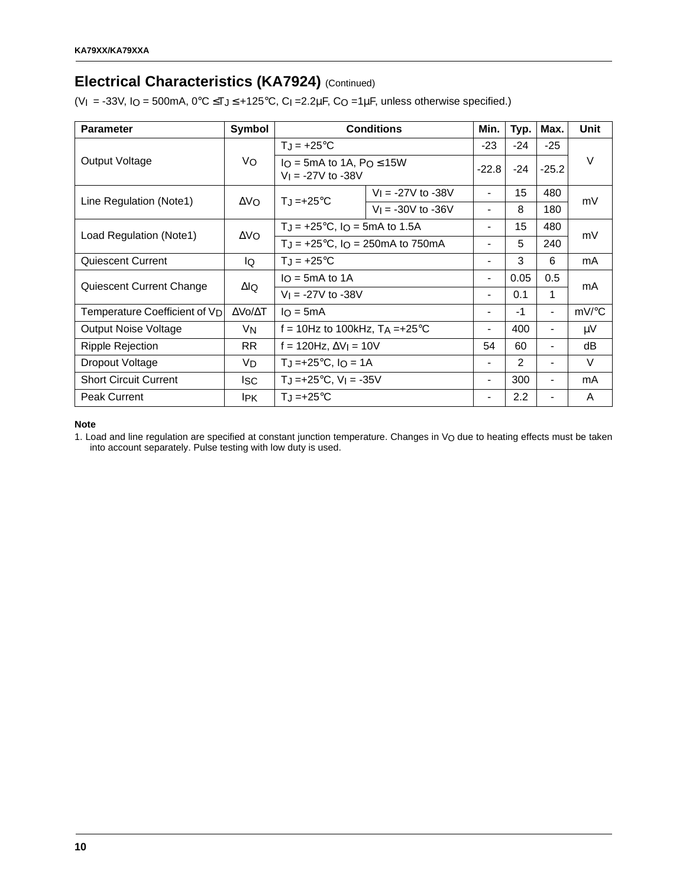# **Electrical Characteristics (KA7924) (Continued)**

(VI = -33V, IO = 500mA,  $0^{\circ}$ C  $\leq$ TJ $\leq$  +125 $^{\circ}$ C, CI =2.2 $\mu$ F, CO =1 $\mu$ F, unless otherwise specified.)

| <b>Parameter</b>                          | Symbol                  |                                                           | <b>Conditions</b>      | Min.                     | Typ.          | Max.                     | Unit                |
|-------------------------------------------|-------------------------|-----------------------------------------------------------|------------------------|--------------------------|---------------|--------------------------|---------------------|
|                                           |                         | $T_J = +25^{\circ}C$                                      |                        |                          | $-24$         | $-25$                    |                     |
| Output Voltage                            | Vo                      | $I_O = 5mA$ to 1A, $Po \le 15W$<br>$V_1 = -27V$ to $-38V$ |                        | $-22.8$                  | $-24$         | $-25.2$                  | V                   |
| Line Regulation (Note1)                   | $\Delta V_O$            | $T_J = +25^{\circ}C$                                      | $V_1 = -27V$ to $-38V$ | $\blacksquare$           | 15            | 480                      | mV                  |
|                                           |                         |                                                           | $V_1 = -30V$ to $-36V$ |                          | 8             | 180                      |                     |
| Load Regulation (Note1)                   | $\Delta$ VO             | $T_J = +25^{\circ}C$ , $I_O = 5mA$ to 1.5A                |                        | $\overline{\phantom{a}}$ | 15            | 480                      | mV                  |
|                                           |                         | $T_J = +25^{\circ}C$ , $I_O = 250 \text{mA}$ to 750 mA    |                        | $\overline{\phantom{a}}$ | 5             | 240                      |                     |
| <b>Quiescent Current</b>                  | IQ                      | $T_J = +25^{\circ}C$                                      |                        |                          | 3             | 6                        | mA                  |
|                                           | $\Delta$ lQ             | $I_O = 5mA$ to 1A                                         |                        |                          | 0.05          | 0.5                      | mA                  |
| Quiescent Current Change                  |                         | $V_1 = -27V$ to $-38V$                                    |                        | $\blacksquare$           | 0.1           | 1                        |                     |
| Temperature Coefficient of V <sub>D</sub> | $\Delta$ Vo/ $\Delta$ T | $I_O = 5mA$                                               |                        | $\overline{\phantom{a}}$ | $-1$          | $\blacksquare$           | $mV$ <sup>o</sup> C |
| Output Noise Voltage                      | V <sub>N</sub>          | f = 10Hz to 100kHz, $TA = +25^{\circ}C$                   |                        | $\blacksquare$           | 400           | $\blacksquare$           | μV                  |
| Ripple Rejection                          | <b>RR</b>               | f = 120Hz, $\Delta V$ I = 10V                             |                        | 54                       | 60            | $\blacksquare$           | dВ                  |
| Dropout Voltage                           | VD.                     | $T_{J} = +25^{\circ}C$ , $I_{O} = 1A$                     |                        | $\overline{\phantom{a}}$ | $\mathcal{P}$ | $\blacksquare$           | V                   |
| <b>Short Circuit Current</b>              | ISC.                    | $TJ = +25^{\circ}C$ , $VI = -35V$                         |                        | $\blacksquare$           | 300           | $\overline{\phantom{a}}$ | mA                  |
| <b>Peak Current</b>                       | <b>IPK</b>              | $T_{\rm J}$ =+25°C                                        |                        | $\blacksquare$           | 2.2           | $\blacksquare$           | A                   |

#### **Note**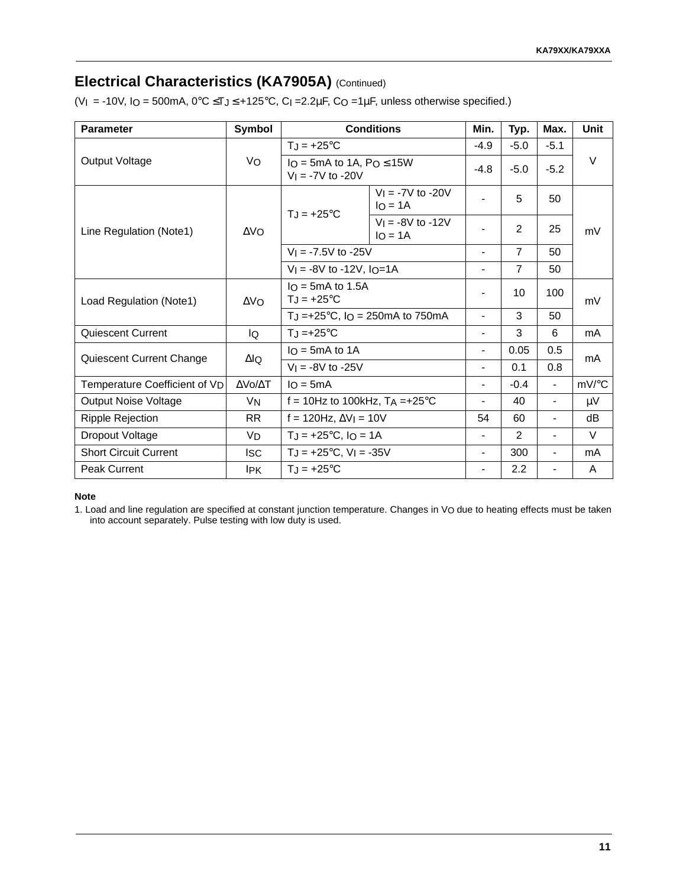# **Electrical Characteristics (KA7905A)** (Continued)

(VI = -10V, IO = 500mA,  $0^{\circ}$ C  $\leq$ TJ $\leq$  +125 $^{\circ}$ C, CI = 2.2 $\mu$ F, CO = 1 $\mu$ F, unless otherwise specified.)

| <b>Parameter</b>              | Symbol                  |                                                          | <b>Conditions</b>                         | Min.                         | Typ.           | Max.                     | <b>Unit</b> |
|-------------------------------|-------------------------|----------------------------------------------------------|-------------------------------------------|------------------------------|----------------|--------------------------|-------------|
|                               |                         | $T_J = +25^{\circ}C$                                     |                                           | $-4.9$                       | $-5.0$         | $-5.1$                   |             |
| Output Voltage                | Vo                      | $I_O = 5mA$ to 1A, $Po \le 15W$<br>$V_1 = -7V$ to $-20V$ |                                           | $-4.8$                       | $-5.0$         | $-5.2$                   | $\vee$      |
|                               |                         | $T_J = +25$ °C                                           | $V_1 = -7V$ to -20V<br>$I_O = 1A$         |                              | 5              | 50                       |             |
| Line Regulation (Note1)       | $\Delta$ VO             |                                                          | $V = -8V$ to $-12V$<br>$I \cap = 1A$      |                              | 2              | 25                       | mV          |
|                               |                         |                                                          | $V_1 = -7.5V$ to $-25V$                   |                              | $\overline{7}$ | 50                       |             |
|                               |                         | $V_1 = -8V$ to -12V, $I_0 = 1A$                          |                                           |                              | $\overline{7}$ | 50                       |             |
| Load Regulation (Note1)       | $\Delta$ VO             | $IQ = 5mA$ to 1.5A<br>$T_J = +25^{\circ}C$               |                                           | $\overline{\phantom{a}}$     | 10             | 100                      | mV          |
|                               |                         |                                                          | TJ =+25 $^{\circ}$ C, IO = 250mA to 750mA | $\qquad \qquad \blacksquare$ | 3              | 50                       |             |
| Quiescent Current             | lQ                      | $T_J = +25^{\circ}C$                                     |                                           | $\overline{\phantom{a}}$     | 3              | 6                        | mA          |
| Quiescent Current Change      | $\Delta$ lQ             | $I_O = 5mA$ to 1A                                        |                                           | $\overline{\phantom{a}}$     | 0.05           | 0.5                      | mA          |
|                               |                         | $V_1 = -8V$ to $-25V$                                    |                                           | $\blacksquare$               | 0.1            | 0.8                      |             |
| Temperature Coefficient of VD | $\Delta$ Vo/ $\Delta$ T | $IQ = 5mA$                                               |                                           | $\overline{\phantom{0}}$     | $-0.4$         | $\blacksquare$           | mV/°C       |
| <b>Output Noise Voltage</b>   | <b>V<sub>N</sub></b>    | f = 10Hz to 100kHz, $T_A = +25$ °C                       |                                           | $\blacksquare$               | 40             | $\blacksquare$           | μV          |
| Ripple Rejection              | RR.                     | $f = 120$ Hz, $\Delta V$ I = 10V                         |                                           | 54                           | 60             | $\overline{\phantom{a}}$ | dВ          |
| Dropout Voltage               | VD                      | $T_J = +25$ °C, $I_O = 1A$                               |                                           | $\overline{\phantom{a}}$     | 2              | $\blacksquare$           | $\vee$      |
| <b>Short Circuit Current</b>  | <b>ISC</b>              | $TJ = +25^{\circ}C$ , $VI = -35V$                        |                                           | $\qquad \qquad \blacksquare$ | 300            |                          | mA          |
| <b>Peak Current</b>           | <b>IPK</b>              | $T_J = +25$ °C                                           |                                           |                              | 2.2            |                          | A           |

#### **Note**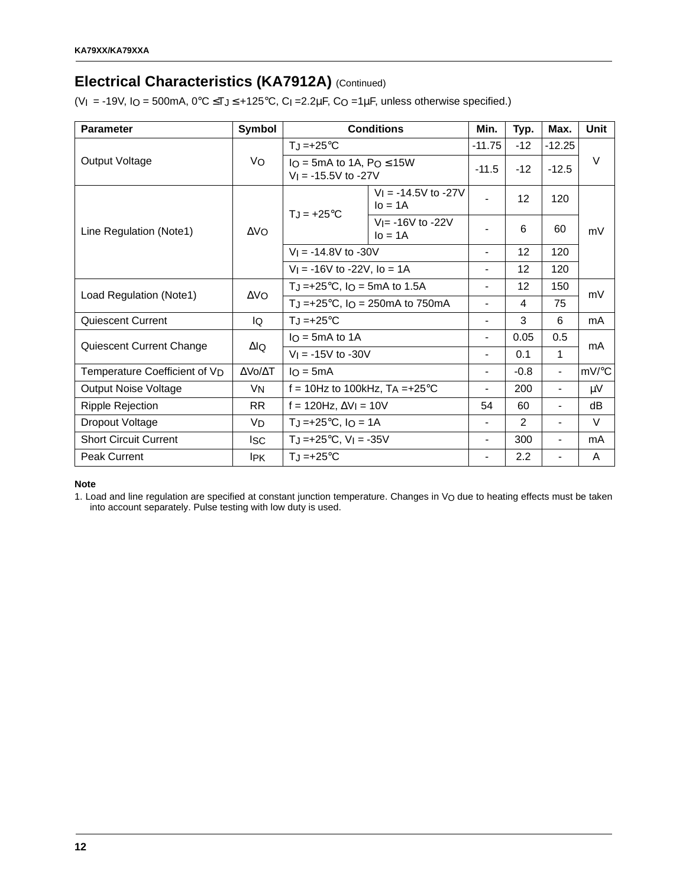# **Electrical Characteristics (KA7912A) (Continued)**

(VI = -19V, IO = 500mA,  $0^{\circ}$ C  $\leq$ TJ $\leq$  +125 $^{\circ}$ C, CI = 2.2 $\mu$ F, CO = 1 $\mu$ F, unless otherwise specified.)

| <b>Parameter</b>                          | Symbol               |                                                            | <b>Conditions</b>                                                 | Min.                     | Typ.          | Max.           | <b>Unit</b> |
|-------------------------------------------|----------------------|------------------------------------------------------------|-------------------------------------------------------------------|--------------------------|---------------|----------------|-------------|
|                                           |                      | $T_J = +25$ °C                                             |                                                                   |                          | $-12$         | $-12.25$       |             |
| Output Voltage                            | Vo                   | $IO = 5mA$ to 1A, $Po \le 15W$<br>$V_1 = -15.5V$ to $-27V$ |                                                                   | $-11.5$                  | $-12$         | $-12.5$        | $\vee$      |
|                                           |                      | $T_J = +25$ °C                                             | $V_1 = -14.5V$ to $-27V$<br>$IO = 1A$                             |                          | 12            | 120            |             |
| Line Regulation (Note1)                   | $\Delta$ VO          |                                                            | $V = -16V$ to $-22V$<br>$IO = 1A$                                 |                          | 6             | 60             | mV          |
|                                           |                      | $V_1 = -14.8V$ to $-30V$                                   |                                                                   | $\blacksquare$           | 12            | 120            |             |
|                                           |                      | $V_1 = -16V$ to -22V, lo = 1A                              |                                                                   | $\overline{\phantom{0}}$ | 12            | 120            |             |
| Load Regulation (Note1)                   | $\Delta \text{VO}$   | TJ = +25 $^{\circ}$ C, IO = 5mA to 1.5A                    |                                                                   | $\overline{\phantom{a}}$ | 12            | 150            | mV          |
|                                           |                      |                                                            | T <sub>J</sub> =+25 $^{\circ}$ C, I <sub>O</sub> = 250mA to 750mA | $\overline{\phantom{0}}$ | 4             | 75             |             |
| Quiescent Current                         | IQ                   | $T_J = +25^{\circ}C$                                       |                                                                   | $\overline{\phantom{0}}$ | 3             | 6              | mA          |
| Quiescent Current Change                  | $\Delta$ lQ          | $IO$ = 5mA to 1A                                           |                                                                   | $\blacksquare$           | 0.05          | 0.5            |             |
|                                           |                      | $V_1 = -15V$ to $-30V$                                     |                                                                   | $\blacksquare$           | 0.1           | 1              | mA          |
| Temperature Coefficient of V <sub>D</sub> | ΔVο/ΔΤ               | $IO = 5mA$                                                 |                                                                   | $\overline{\phantom{0}}$ | $-0.8$        |                | mV/°C       |
| <b>Output Noise Voltage</b>               | VN                   | f = 10Hz to 100kHz, $TA = +25^{\circ}C$                    |                                                                   | $\blacksquare$           | 200           | $\blacksquare$ | μV          |
| <b>Ripple Rejection</b>                   | <b>RR</b>            |                                                            | $f = 120$ Hz, $\Delta V$ <sub>I</sub> = 10V                       |                          | 60            | $\blacksquare$ | dB          |
| Dropout Voltage                           | <b>V<sub>D</sub></b> |                                                            | $T_J = +25$ °C, I <sub>O</sub> = 1A                               |                          | $\mathcal{P}$ |                | V           |
| <b>Short Circuit Current</b>              | <b>Isc</b>           | $T_J = +25$ °C, V <sub>I</sub> = -35V                      |                                                                   | $\overline{\phantom{0}}$ | 300           | $\blacksquare$ | mA          |
| <b>Peak Current</b>                       | <b>IPK</b>           | $T_J = +25^{\circ}C$                                       |                                                                   | $\blacksquare$           | 2.2           | $\blacksquare$ | A           |

#### **Note**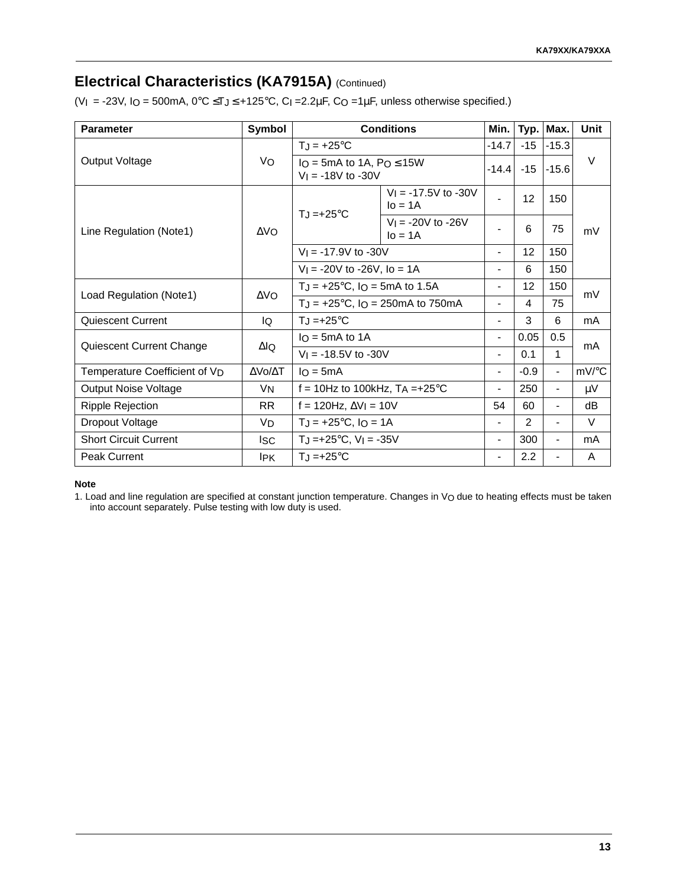# **Electrical Characteristics (KA7915A)** (Continued)

(VI = -23V, IO = 500mA,  $0^{\circ}$ C  $\leq$ TJ $\leq$  +125 $^{\circ}$ C, CI =2.2 $\mu$ F, CO =1 $\mu$ F, unless otherwise specified.)

| <b>Parameter</b>                          | Symbol               | <b>Conditions</b>                                        |                                        | Min.                     |                   | Typ. Max.                | Unit    |
|-------------------------------------------|----------------------|----------------------------------------------------------|----------------------------------------|--------------------------|-------------------|--------------------------|---------|
| Output Voltage                            | Vo                   | $T_J = +25^{\circ}C$                                     |                                        | $-14.7$                  | $-15$             | $1 - 15.3$               | $\vee$  |
|                                           |                      | $IO = 5mA$ to 1A, $Po \le 15W$<br>$V_1 = -18V$ to $-30V$ |                                        | $-14.4$                  | $-15$             | $-15.6$                  |         |
| Line Regulation (Note1)                   | $\Delta$ VO          | $T_J = +25$ °C                                           | $V_1 = -17.5V$ to $-30V$<br>$I_0 = 1A$ |                          | 12                | 150                      | mV      |
|                                           |                      |                                                          | $V_1 = -20V$ to $-26V$<br>$I_0 = 1A$   |                          | 6                 | 75                       |         |
|                                           |                      | $V_1 = -17.9V$ to $-30V$                                 |                                        | $\overline{\phantom{a}}$ | 12 <sub>2</sub>   | 150                      |         |
|                                           |                      | $V_1 = -20V$ to $-26V$ , lo = 1A                         |                                        |                          | 6                 | 150                      |         |
| Load Regulation (Note1)                   | $\Delta$ VO          | $T_J = +25$ °C, Io = 5mA to 1.5A                         |                                        | $\overline{\phantom{0}}$ | $12 \overline{ }$ | 150                      | mV      |
|                                           |                      | $T_J = +25^{\circ}C$ , $I_O = 250 \text{mA}$ to 750 mA   |                                        |                          | 4                 | 75                       |         |
| <b>Quiescent Current</b>                  | IQ                   | $T_{\rm J}$ =+25°C                                       |                                        |                          | 3                 | 6                        | mA      |
| Quiescent Current Change                  | ΔlQ                  | $I_O = 5mA$ to 1A                                        |                                        | $\blacksquare$           | 0.05              | 0.5                      | mA      |
|                                           |                      | $V_1 = -18.5V$ to $-30V$                                 |                                        | $\overline{\phantom{0}}$ | 0.1               | 1                        |         |
| Temperature Coefficient of V <sub>D</sub> | ΔVο/ΔΤ               | $I_O = 5mA$                                              |                                        | $\overline{\phantom{0}}$ | $-0.9$            | $\blacksquare$           | mV/°C   |
| <b>Output Noise Voltage</b>               | <b>V<sub>N</sub></b> | f = 10Hz to 100kHz, $TA = +25^{\circ}C$                  |                                        | $\overline{\phantom{0}}$ | 250               | $\blacksquare$           | $\mu$ V |
| <b>Ripple Rejection</b>                   | <b>RR</b>            | f = 120Hz, $\Delta V$ <sub>l</sub> = 10V                 |                                        | 54                       | 60                | $\overline{\phantom{a}}$ | dB      |
| Dropout Voltage                           | V <sub>D</sub>       | $T_J = +25$ °C, $I_O = 1A$                               |                                        |                          | $\overline{2}$    | $\overline{\phantom{a}}$ | $\vee$  |
| <b>Short Circuit Current</b>              | <sub>ISC</sub>       | $T_J = +25$ °C, $V_I = -35V$                             |                                        | $\overline{\phantom{0}}$ | 300               | $\overline{\phantom{a}}$ | mA      |
| <b>Peak Current</b>                       | lpk.                 | $T_J = +25$ °C                                           |                                        | $\overline{\phantom{a}}$ | 2.2               | $\blacksquare$           | A       |

#### **Note**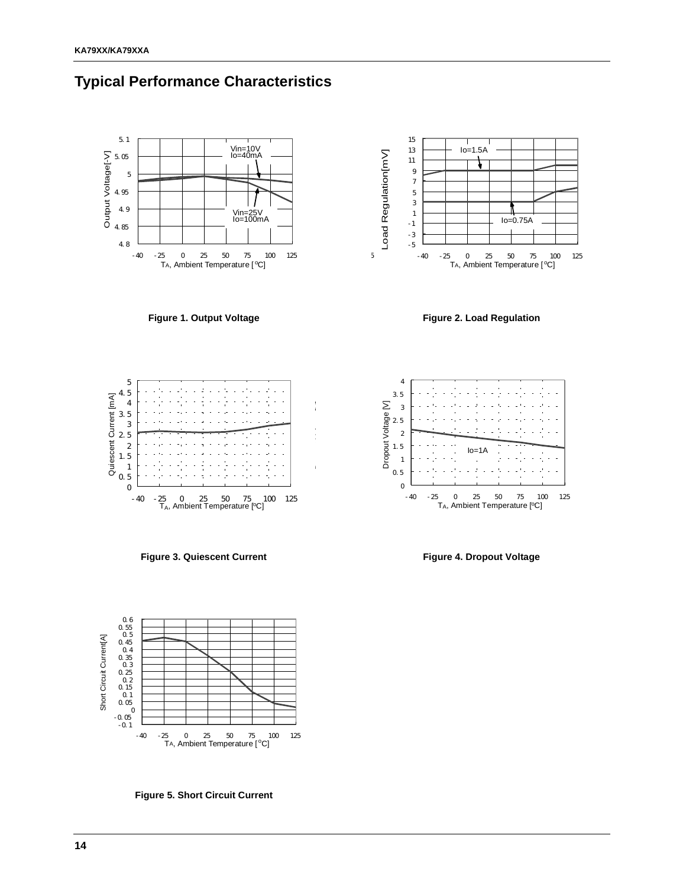



**Figure 1. Output Voltage**



**Figure 2. Load Regulation**



**Figure 3. Quiescent Current**



**Figure 4. Dropout Voltage**



**Figure 5. Short Circuit Current**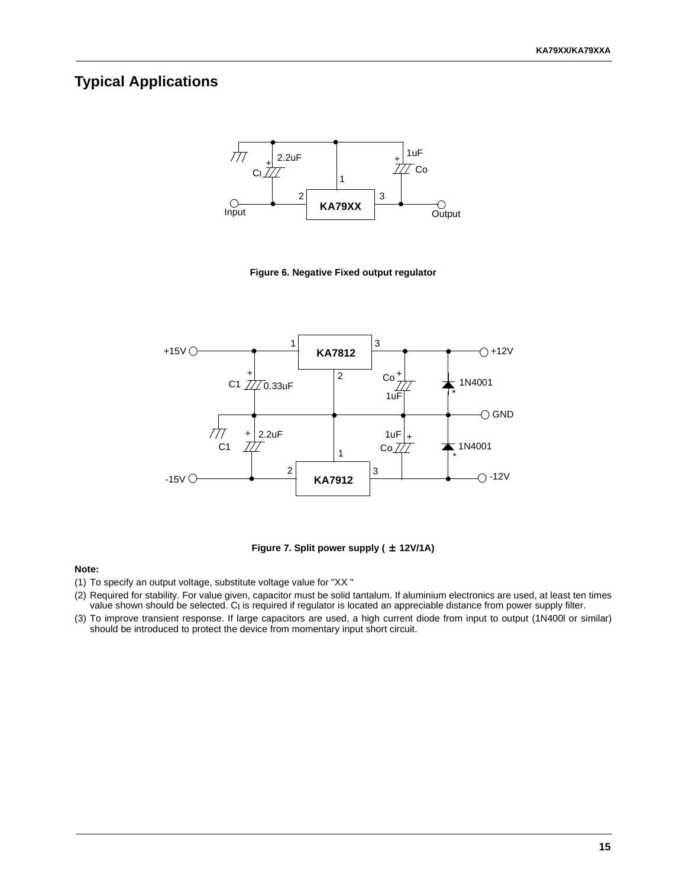### **Typical Applications**



**Figure 6. Negative Fixed output regulator** 



**Figure 7. Split power supply (** ± **12V/1A)**

#### **Note:**

- (1) To specify an output voltage, substitute voltage value for "XX "
- (2) Required for stability. For value given, capacitor must be solid tantalum. If aluminium electronics are used, at least ten times value shown should be selected. C<sub>I</sub> is required if regulator is located an appreciable distance from power supply filter.
- (3) To improve transient response. If large capacitors are used, a high current diode from input to output (1N400l or similar) should be introduced to protect the device from momentary input short circuit.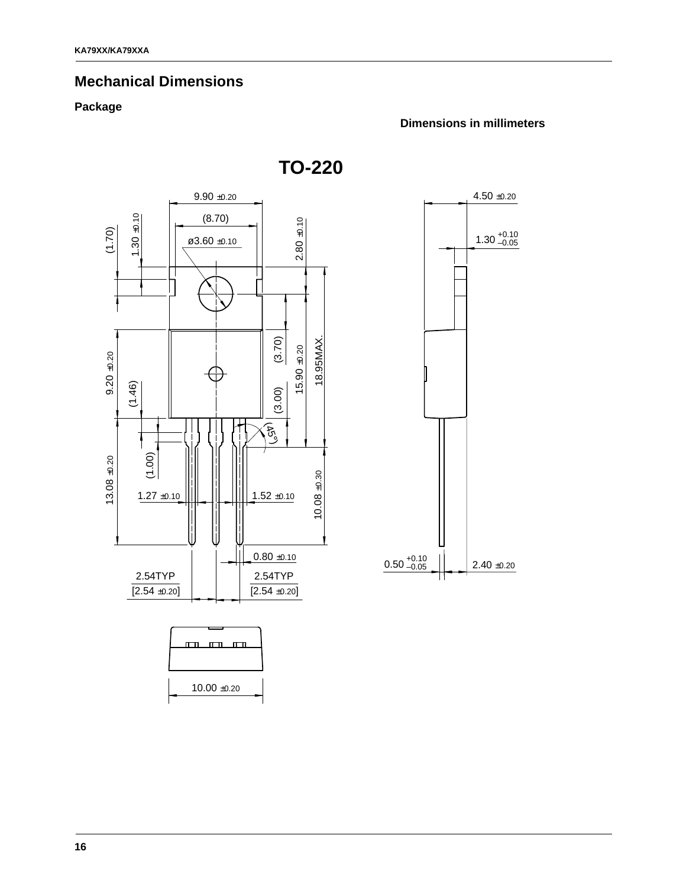# **Mechanical Dimensions**

### **Package**

#### **Dimensions in millimeters**

**TO-220**



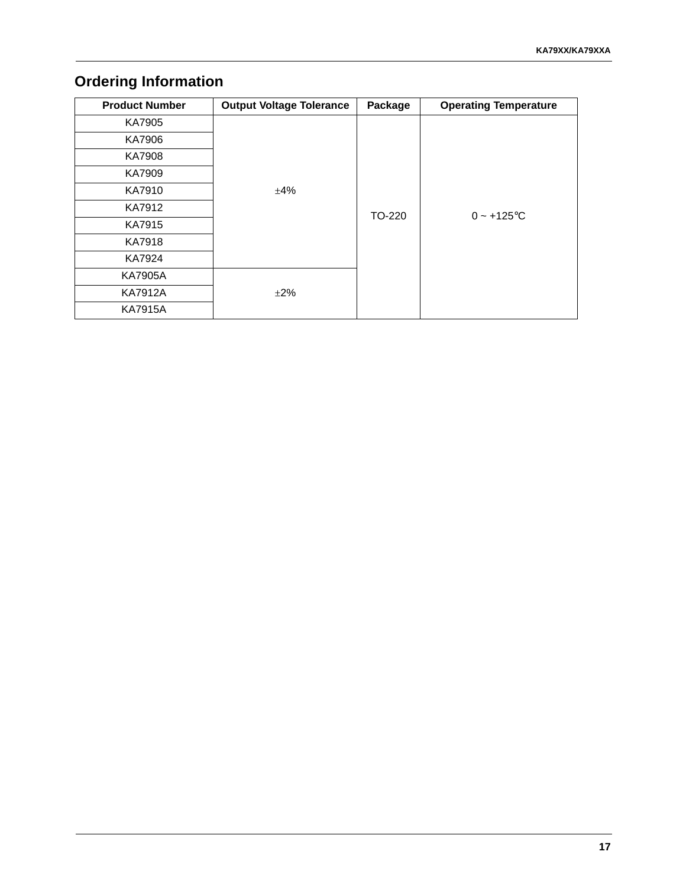# **Ordering Information**

| <b>Product Number</b> | <b>Output Voltage Tolerance</b> | Package | <b>Operating Temperature</b> |  |  |
|-----------------------|---------------------------------|---------|------------------------------|--|--|
| KA7905                |                                 |         |                              |  |  |
| KA7906                |                                 |         |                              |  |  |
| <b>KA7908</b>         |                                 |         |                              |  |  |
| KA7909                |                                 | TO-220  |                              |  |  |
| KA7910                | ±4%                             |         | $0 - +125$ °C                |  |  |
| KA7912                |                                 |         |                              |  |  |
| KA7915                |                                 |         |                              |  |  |
| <b>KA7918</b>         |                                 |         |                              |  |  |
| KA7924                |                                 |         |                              |  |  |
| <b>KA7905A</b>        |                                 |         |                              |  |  |
| <b>KA7912A</b>        | $\pm 2\%$                       |         |                              |  |  |
| <b>KA7915A</b>        |                                 |         |                              |  |  |